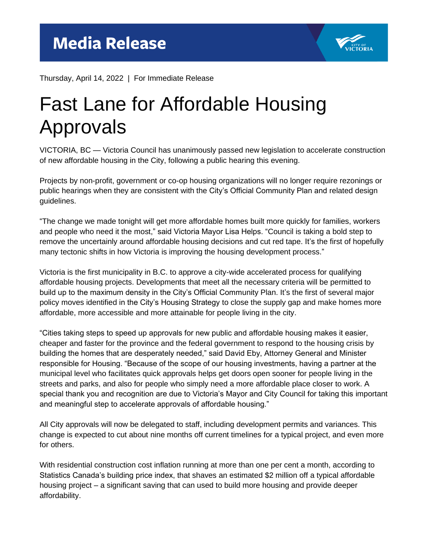

Thursday, April 14, 2022 | For Immediate Release

## Fast Lane for Affordable Housing Approvals

VICTORIA, BC — Victoria Council has unanimously passed new legislation to accelerate construction of new affordable housing in the City, following a public hearing this evening.

Projects by non-profit, government or co-op housing organizations will no longer require rezonings or public hearings when they are consistent with the City's Official Community Plan and related design guidelines.

"The change we made tonight will get more affordable homes built more quickly for families, workers and people who need it the most," said Victoria Mayor Lisa Helps. "Council is taking a bold step to remove the uncertainly around affordable housing decisions and cut red tape. It's the first of hopefully many tectonic shifts in how Victoria is improving the housing development process."

Victoria is the first municipality in B.C. to approve a city-wide accelerated process for qualifying affordable housing projects. Developments that meet all the necessary criteria will be permitted to build up to the maximum density in the City's Official Community Plan. It's the first of several major policy moves identified in the City's Housing Strategy to close the supply gap and make homes more affordable, more accessible and more attainable for people living in the city.

"Cities taking steps to speed up approvals for new public and affordable housing makes it easier, cheaper and faster for the province and the federal government to respond to the housing crisis by building the homes that are desperately needed," said David Eby, Attorney General and Minister responsible for Housing. "Because of the scope of our housing investments, having a partner at the municipal level who facilitates quick approvals helps get doors open sooner for people living in the streets and parks, and also for people who simply need a more affordable place closer to work. A special thank you and recognition are due to Victoria's Mayor and City Council for taking this important and meaningful step to accelerate approvals of affordable housing."

All City approvals will now be delegated to staff, including development permits and variances. This change is expected to cut about nine months off current timelines for a typical project, and even more for others.

With residential construction cost inflation running at more than one per cent a month, according to Statistics Canada's building price index, that shaves an estimated \$2 million off a typical affordable housing project – a significant saving that can used to build more housing and provide deeper affordability.